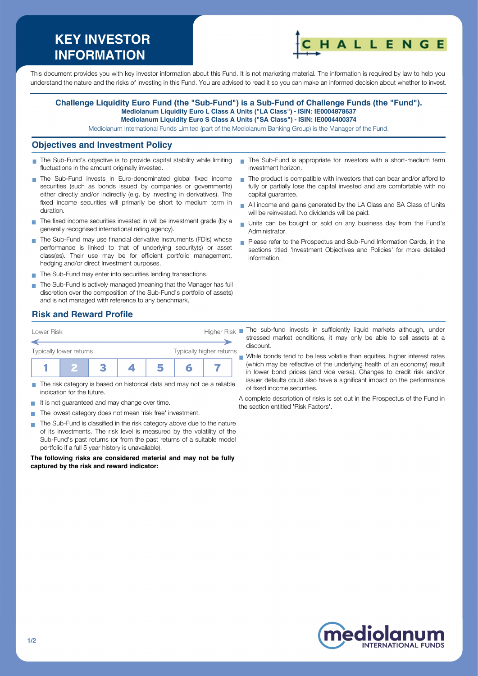# **KEY INVESTOR INFORMATION**



This document provides you with key investor information about this Fund. It is not marketing material. The information is required by law to help you understand the nature and the risks of investing in this Fund. You are advised to read it so you can make an informed decision about whether to invest.

#### **Challenge Liquidity Euro Fund (the "Sub-Fund") is a Sub-Fund of Challenge Funds (the "Fund"). Mediolanum Liquidity Euro L Class A Units ("LA Class") - ISIN: IE0004878637 Mediolanum Liquidity Euro S Class A Units ("SA Class") - ISIN: IE0004400374**

Mediolanum International Funds Limited (part of the Mediolanum Banking Group) is the Manager of the Fund.

### **Objectives and Investment Policy**

- The Sub-Fund's objective is to provide capital stability while limiting  $\mathcal{L}_{\mathcal{A}}$ fluctuations in the amount originally invested.
- The Sub-Fund invests in Euro-denominated global fixed income securities (such as bonds issued by companies or governments) either directly and/or indirectly (e.g. by investing in derivatives). The fixed income securities will primarily be short to medium term in duration.
- The fixed income securities invested in will be investment grade (by a generally recognised international rating agency).
- The Sub-Fund may use financial derivative instruments (FDIs) whose performance is linked to that of underlying security(s) or asset class(es). Their use may be for efficient portfolio management, hedging and/or direct Investment purposes.
- The Sub-Fund may enter into securities lending transactions.
- The Sub-Fund is actively managed (meaning that the Manager has full discretion over the composition of the Sub-Fund's portfolio of assets) and is not managed with reference to any benchmark.
- The Sub-Fund is appropriate for investors with a short-medium term investment horizon.
- The product is compatible with investors that can bear and/or afford to fully or partially lose the capital invested and are comfortable with no capital guarantee.
- All income and gains generated by the LA Class and SA Class of Units will be reinvested. No dividends will be paid.
- Units can be bought or sold on any business day from the Fund's Administrator.
- Please refer to the Prospectus and Sub-Fund Information Cards, in the sections titled 'Investment Objectives and Policies' for more detailed information.

# **Risk and Reward Profile**



- The risk category is based on historical data and may not be a reliable indication for the future.
- It is not guaranteed and may change over time.
- The lowest category does not mean 'risk free' investment.  $\sim$
- The Sub-Fund is classified in the risk category above due to the nature **T** of its investments. The risk level is measured by the volatility of the Sub-Fund's past returns (or from the past returns of a suitable model portfolio if a full 5 year history is unavailable).

**The following risks are considered material and may not be fully captured by the risk and reward indicator:**

stressed market conditions, it may only be able to sell assets at a discount.

While bonds tend to be less volatile than equities, higher interest rates (which may be reflective of the underlying health of an economy) result in lower bond prices (and vice versa). Changes to credit risk and/or issuer defaults could also have a significant impact on the performance of fixed income securities.

A complete description of risks is set out in the Prospectus of the Fund in the section entitled 'Risk Factors'.